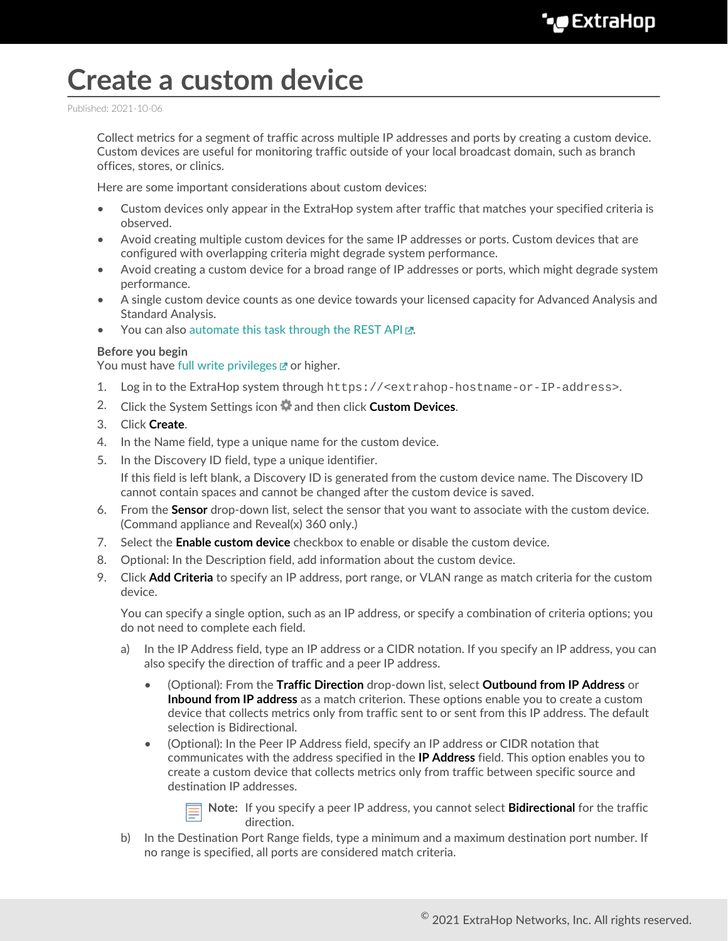## **Create a custom device**

Published: 2021-10-06

Collect metrics for a segment of traffic across multiple IP addresses and ports by creating a custom device. Custom devices are useful for monitoring traffic outside of your local broadcast domain, such as branch offices, stores, or clinics.

Here are some important considerations about custom devices:

- Custom devices only appear in the ExtraHop system after traffic that matches your specified criteria is observed.
- Avoid creating multiple custom devices for the same IP addresses or ports. Custom devices that are configured with overlapping criteria might degrade system performance.
- Avoid creating a custom device for a broad range of IP addresses or ports, which might degrade system performance.
- A single custom device counts as one device towards your licensed capacity for Advanced Analysis and Standard Analysis.
- You can also [automate this task through the REST API .](https://docs.extrahop.com/8.7/rest-create-custom-devices)..

## **Before you begin**

You must have [full write privileges](https://docs.extrahop.com/8.7/eh-admin-ui-guide/#user-privileges) F or higher.

- 1. Log in to the ExtraHop system through https://<extrahop-hostname-or-IP-address>.
- 2. Click the System Settings icon **and then click Custom Devices**.
- 3. Click **Create**.
- 4. In the Name field, type a unique name for the custom device.
- 5. In the Discovery ID field, type a unique identifier.

If this field is left blank, a Discovery ID is generated from the custom device name. The Discovery ID cannot contain spaces and cannot be changed after the custom device is saved.

- 6. From the **Sensor** drop-down list, select the sensor that you want to associate with the custom device. (Command appliance and Reveal(x) 360 only.)
- 7. Select the **Enable custom device** checkbox to enable or disable the custom device.
- 8. Optional: In the Description field, add information about the custom device.
- 9. Click **Add Criteria** to specify an IP address, port range, or VLAN range as match criteria for the custom device.

You can specify a single option, such as an IP address, or specify a combination of criteria options; you do not need to complete each field.

- a) In the IP Address field, type an IP address or a CIDR notation. If you specify an IP address, you can also specify the direction of traffic and a peer IP address.
	- (Optional): From the **Traffic Direction** drop-down list, select **Outbound from IP Address** or **Inbound from IP address** as a match criterion. These options enable you to create a custom device that collects metrics only from traffic sent to or sent from this IP address. The default selection is Bidirectional.
	- (Optional): In the Peer IP Address field, specify an IP address or CIDR notation that communicates with the address specified in the **IP Address** field. This option enables you to create a custom device that collects metrics only from traffic between specific source and destination IP addresses.



**Note:** If you specify a peer IP address, you cannot select **Bidirectional** for the traffic direction.

b) In the Destination Port Range fields, type a minimum and a maximum destination port number. If no range is specified, all ports are considered match criteria.